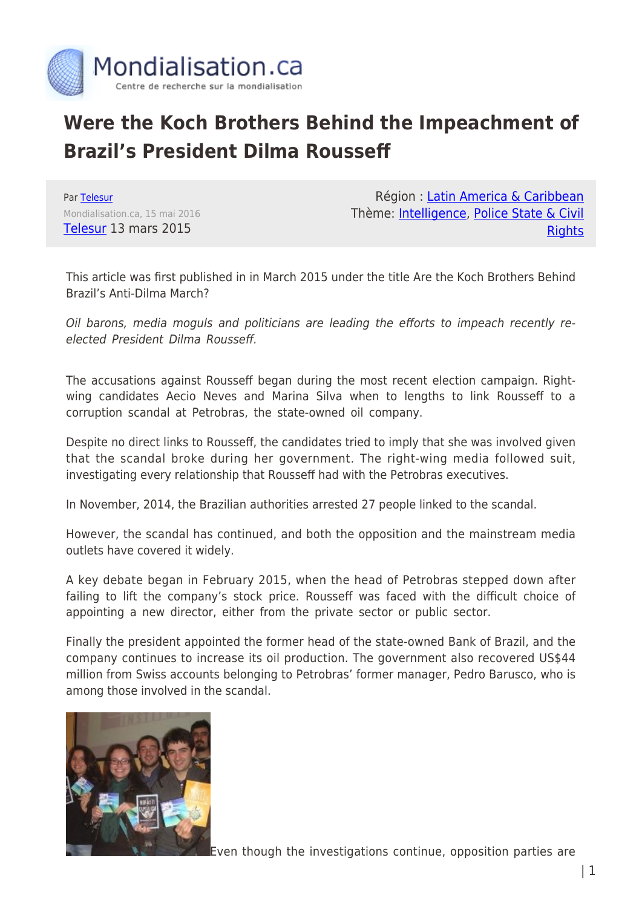

## **Were the Koch Brothers Behind the Impeachment of Brazil's President Dilma Rousseff**

Par [Telesur](https://www.mondialisation.ca/author/telesur) Mondialisation.ca, 15 mai 2016 [Telesur](http://www.telesurtv.net/english/analysis/Are-the-Koch-Brothers-Behind-Brazils-Anti-Dilma-March-20150313-0001.html) 13 mars 2015

Région : [Latin America & Caribbean](https://www.mondialisation.ca/region/latin-america-caribbean) Thème: [Intelligence,](https://www.mondialisation.ca/theme/intelligence) [Police State & Civil](https://www.mondialisation.ca/theme/police-state-civil-rights) **[Rights](https://www.mondialisation.ca/theme/police-state-civil-rights)** 

This article was first published in in March 2015 under the title Are the Koch Brothers Behind Brazil's Anti-Dilma March?

Oil barons, media moguls and politicians are leading the efforts to impeach recently reelected President Dilma Rousseff.

The accusations against Rousseff began during the most recent election campaign. Rightwing candidates Aecio Neves and Marina Silva when to lengths to link Rousseff to a corruption scandal at Petrobras, the state-owned oil company.

Despite no direct links to Rousseff, the candidates tried to imply that she was involved given that the scandal broke during her government. The right-wing media followed suit, investigating every relationship that Rousseff had with the Petrobras executives.

In November, 2014, the Brazilian authorities arrested 27 people linked to the scandal.

However, the scandal has continued, and both the opposition and the mainstream media outlets have covered it widely.

A key debate began in February 2015, when the head of Petrobras stepped down after failing to lift the company's stock price. Rousseff was faced with the difficult choice of appointing a new director, either from the private sector or public sector.

Finally the president appointed the former head of the state-owned Bank of Brazil, and the company continues to increase its oil production. The government also recovered US\$44 million from Swiss accounts belonging to Petrobras' former manager, Pedro Barusco, who is among those involved in the scandal.



Even though the investigations continue, opposition parties are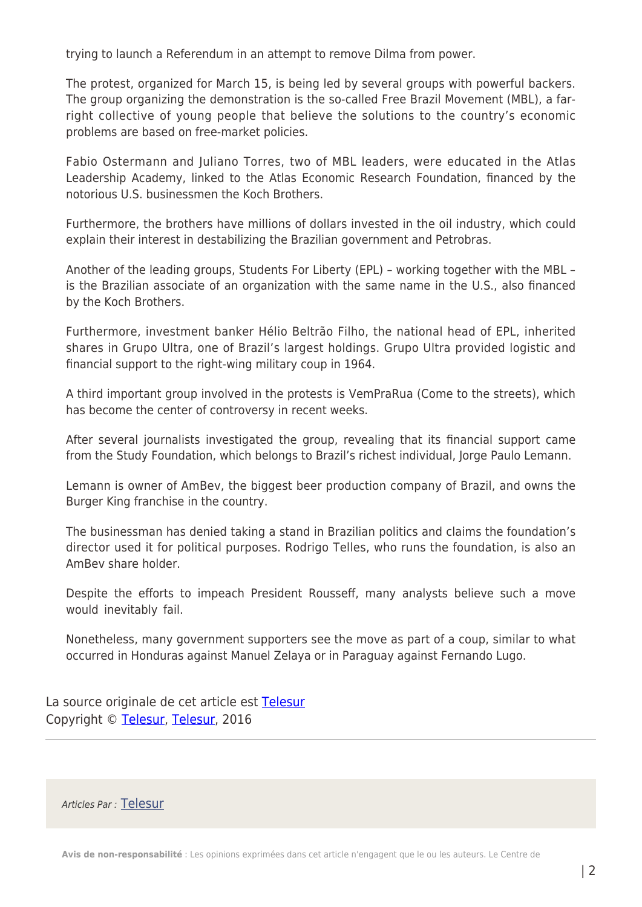trying to launch a Referendum in an attempt to remove Dilma from power.

The protest, organized for March 15, is being led by several groups with powerful backers. The group organizing the demonstration is the so-called Free Brazil Movement (MBL), a farright collective of young people that believe the solutions to the country's economic problems are based on free-market policies.

Fabio Ostermann and Juliano Torres, two of MBL leaders, were educated in the Atlas Leadership Academy, linked to the Atlas Economic Research Foundation, financed by the notorious U.S. businessmen the Koch Brothers.

Furthermore, the brothers have millions of dollars invested in the oil industry, which could explain their interest in destabilizing the Brazilian government and Petrobras.

Another of the leading groups, Students For Liberty (EPL) – working together with the MBL – is the Brazilian associate of an organization with the same name in the U.S., also financed by the Koch Brothers.

Furthermore, investment banker Hélio Beltrão Filho, the national head of EPL, inherited shares in Grupo Ultra, one of Brazil's largest holdings. Grupo Ultra provided logistic and financial support to the right-wing military coup in 1964.

A third important group involved in the protests is VemPraRua (Come to the streets), which has become the center of controversy in recent weeks.

After several journalists investigated the group, revealing that its financial support came from the Study Foundation, which belongs to Brazil's richest individual, Jorge Paulo Lemann.

Lemann is owner of AmBev, the biggest beer production company of Brazil, and owns the Burger King franchise in the country.

The businessman has denied taking a stand in Brazilian politics and claims the foundation's director used it for political purposes. Rodrigo Telles, who runs the foundation, is also an AmBev share holder.

Despite the efforts to impeach President Rousseff, many analysts believe such a move would inevitably fail.

Nonetheless, many government supporters see the move as part of a coup, similar to what occurred in Honduras against Manuel Zelaya or in Paraguay against Fernando Lugo.

La source originale de cet article est [Telesur](http://www.telesurtv.net/english/analysis/Are-the-Koch-Brothers-Behind-Brazils-Anti-Dilma-March-20150313-0001.html) Copyright © [Telesur,](https://www.mondialisation.ca/author/telesur) [Telesur](http://www.telesurtv.net/english/analysis/Are-the-Koch-Brothers-Behind-Brazils-Anti-Dilma-March-20150313-0001.html), 2016

Articles Par : [Telesur](https://www.mondialisation.ca/author/telesur)